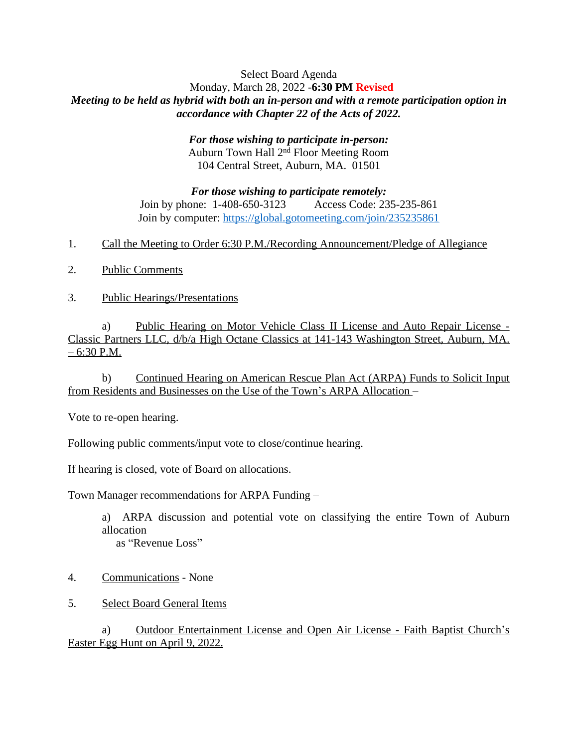## Select Board Agenda Monday, March 28, 2022 -**6:30 PM Revised** *Meeting to be held as hybrid with both an in-person and with a remote participation option in accordance with Chapter 22 of the Acts of 2022.*

*For those wishing to participate in-person:* Auburn Town Hall 2nd Floor Meeting Room 104 Central Street, Auburn, MA. 01501

*For those wishing to participate remotely:* Join by phone: 1-408-650-3123 Access Code: 235-235-861 Join by computer:<https://global.gotomeeting.com/join/235235861>

- 1. Call the Meeting to Order 6:30 P.M./Recording Announcement/Pledge of Allegiance
- 2. Public Comments
- 3. Public Hearings/Presentations

a) Public Hearing on Motor Vehicle Class II License and Auto Repair License - Classic Partners LLC, d/b/a High Octane Classics at 141-143 Washington Street, Auburn, MA.  $-6:30$  P.M.

b) Continued Hearing on American Rescue Plan Act (ARPA) Funds to Solicit Input from Residents and Businesses on the Use of the Town's ARPA Allocation –

Vote to re-open hearing.

Following public comments/input vote to close/continue hearing.

If hearing is closed, vote of Board on allocations.

Town Manager recommendations for ARPA Funding –

a) ARPA discussion and potential vote on classifying the entire Town of Auburn allocation as "Revenue Loss"

- 4. Communications None
- 5. Select Board General Items

a) Outdoor Entertainment License and Open Air License - Faith Baptist Church's Easter Egg Hunt on April 9, 2022.